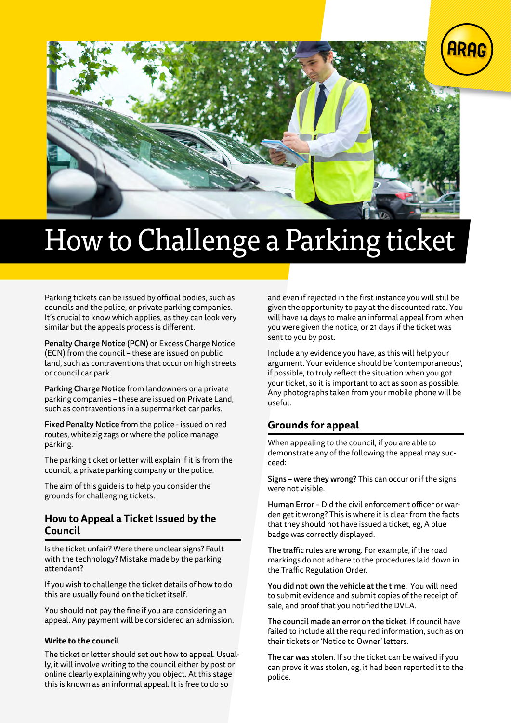



# How to Challenge a Parking ticket

Parking tickets can be issued by official bodies, such as councils and the police, or private parking companies. It's crucial to know which applies, as they can look very similar but the appeals process is different.

Penalty Charge Notice (PCN) or Excess Charge Notice (ECN) from the council – these are issued on public land, such as contraventions that occur on high streets or council car park

Parking Charge Notice from landowners or a private parking companies – these are issued on Private Land, such as contraventions in a supermarket car parks.

Fixed Penalty Notice from the police - issued on red routes, white zig zags or where the police manage parking.

The parking ticket or letter will explain if it is from the council, a private parking company or the police.

The aim of this guide is to help you consider the grounds for challenging tickets.

### **How to Appeal a Ticket Issued by the Council**

Is the ticket unfair? Were there unclear signs? Fault with the technology? Mistake made by the parking attendant?

If you wish to challenge the ticket details of how to do this are usually found on the ticket itself.

You should not pay the fine if you are considering an appeal. Any payment will be considered an admission.

#### **Write to the council**

The ticket or letter should set out how to appeal. Usually, it will involve writing to the council either by post or online clearly explaining why you object. At this stage this is known as an informal appeal. It is free to do so

and even if rejected in the first instance you will still be given the opportunity to pay at the discounted rate. You will have 14 days to make an informal appeal from when you were given the notice, or 21 days if the ticket was sent to you by post.

Include any evidence you have, as this will help your argument. Your evidence should be 'contemporaneous', if possible, to truly reflect the situation when you got your ticket, so it is important to act as soon as possible. Any photographs taken from your mobile phone will be useful.

# **Grounds for appeal**

When appealing to the council, if you are able to demonstrate any of the following the appeal may succeed:

Signs – were they wrong? This can occur or if the signs were not visible.

Human Error – Did the civil enforcement officer or warden get it wrong? This is where it is clear from the facts that they should not have issued a ticket, eg, A blue badge was correctly displayed.

The traffic rules are wrong. For example, if the road markings do not adhere to the procedures laid down in the Traffic Regulation Order.

You did not own the vehicle at the time. You will need to submit evidence and submit copies of the receipt of sale, and proof that you notified the DVLA.

The council made an error on the ticket. If council have failed to include all the required information, such as on their tickets or 'Notice to Owner' letters.

The car was stolen. If so the ticket can be waived if you can prove it was stolen, eg, it had been reported it to the police.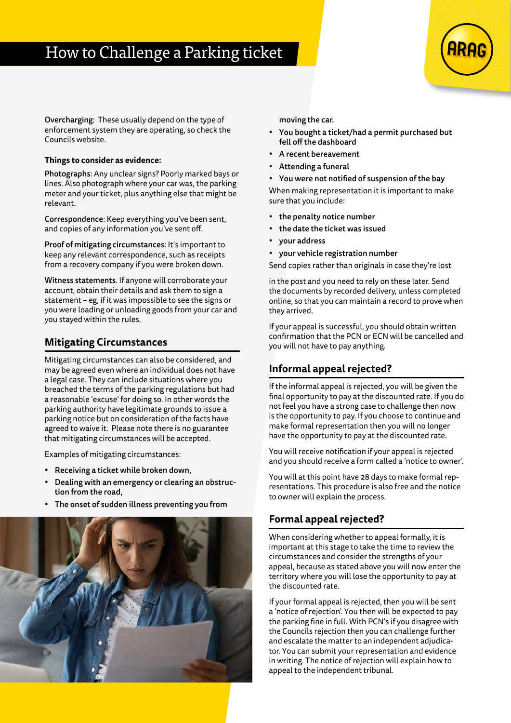

Overcharging: These usually depend on the type of enforcement system they are operating, so check the Councils website.

### **Things to consider as evidence:**

Photographs: Any unclear signs? Poorly marked bays or lines. Also photograph where your car was, the parking meter and your ticket, plus anything else that might be relevant.

Correspondence: Keep everything you've been sent, and copies of any information you've sent off.

Proof of mitigating circumstances: It's important to keep any relevant correspondence, such as receipts from a recovery company if you were broken down.

Witness statements. If anyone will corroborate your account, obtain their details and ask them to sign a statement – eg, if it was impossible to see the signs or you were loading or unloading goods from your car and you stayed within the rules.

### **Mitigating Circumstances**

Mitigating circumstances can also be considered, and may be agreed even where an individual does not have a legal case. They can include situations where you breached the terms of the parking regulations but had a reasonable 'excuse' for doing so. In other words the parking authority have legitimate grounds to issue a parking notice but on consideration of the facts have agreed to waive it. Please note there is no guarantee that mitigating circumstances will be accepted.

Examples of mitigating circumstances:

- Receiving a ticket while broken down,
- Dealing with an emergency or clearing an obstruction from the road,
- The onset of sudden illness preventing you from



moving the car.

- You bought a ticket/had a permit purchased but fell off the dashboard
- A recent bereavement
- Attending a funeral
- You were not notified of suspension of the bay

When making representation it is important to make sure that you include:

- the penalty notice number
- the date the ticket was issued
- your address
- your vehicle registration number

Send copies rather than originals in case they're lost

in the post and you need to rely on these later. Send the documents by recorded delivery, unless completed online, so that you can maintain a record to prove when they arrived.

If your appeal is successful, you should obtain written confirmation that the PCN or ECN will be cancelled and you will not have to pay anything.

# **Informal appeal rejected?**

If the informal appeal is rejected, you will be given the final opportunity to pay at the discounted rate. If you do not feel you have a strong case to challenge then now is the opportunity to pay. If you choose to continue and make formal representation then you will no longer have the opportunity to pay at the discounted rate.

You will receive notification if your appeal is rejected and you should receive a form called a 'notice to owner'.

You will at this point have 28 days to make formal representations. This procedure is also free and the notice to owner will explain the process.

# **Formal appeal rejected?**

When considering whether to appeal formally, it is important at this stage to take the time to review the circumstances and consider the strengths of your appeal, because as stated above you will now enter the territory where you will lose the opportunity to pay at the discounted rate.

If your formal appeal is rejected, then you will be sent a 'notice of rejection'. You then will be expected to pay the parking fine in full. With PCN's if you disagree with the Councils rejection then you can challenge further and escalate the matter to an independent adjudicator. You can submit your representation and evidence in writing. The notice of rejection will explain how to appeal to the independent tribunal.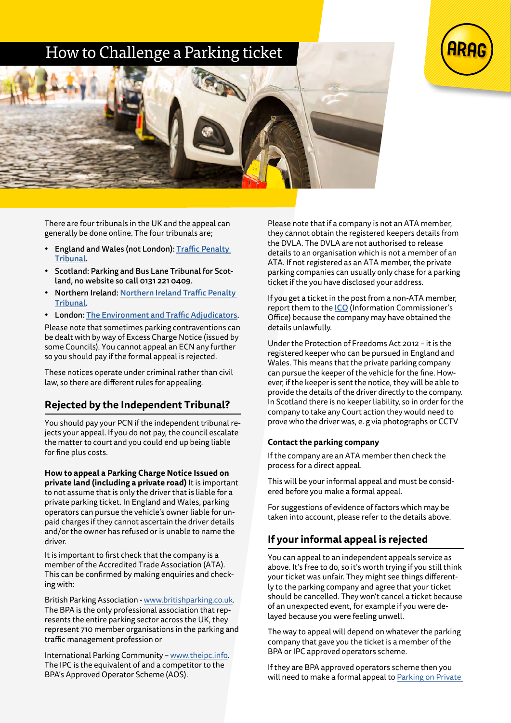# How to Challenge a Parking ticket





There are four tribunals in the UK and the appeal can generally be done online. The four tribunals are;

- England and Wales (not London): [Traffic Penalty](https://www.trafficpenaltytribunal.gov.uk/)  [Tribunal.](https://www.trafficpenaltytribunal.gov.uk/)
- Scotland: Parking and Bus Lane Tribunal for Scotland, no website so call 0131 221 0409.
- Northern Ireland: [Northern Ireland Traffic Penalty](https://www.justice-ni.gov.uk/articles/northern-ireland-traffic-penalty-tribunal)  [Tribunal.](https://www.justice-ni.gov.uk/articles/northern-ireland-traffic-penalty-tribunal)
- London: [The Environment and Traffic Adjudicators](https://www.londontribunals.gov.uk/eat).

Please note that sometimes parking contraventions can be dealt with by way of Excess Charge Notice (issued by some Councils). You cannot appeal an ECN any further so you should pay if the formal appeal is rejected.

These notices operate under criminal rather than civil law, so there are different rules for appealing.

# **Rejected by the Independent Tribunal?**

You should pay your PCN if the independent tribunal rejects your appeal. If you do not pay, the council escalate the matter to court and you could end up being liable for fine plus costs.

**How to appeal a Parking Charge Notice Issued on private land (including a private road)** It is important to not assume that is only the driver that is liable for a private parking ticket. In England and Wales, parking operators can pursue the vehicle's owner liable for unpaid charges if they cannot ascertain the driver details and/or the owner has refused or is unable to name the driver.

It is important to first check that the company is a member of the Accredited Trade Association (ATA). This can be confirmed by making enquiries and checking with:

British Parking Association - [www.britishparking.co.uk](https://www.britishparking.co.uk/). The BPA is the only professional association that represents the entire parking sector across the UK, they represent 710 member organisations in the parking and traffic management profession or

International Parking Community – [www.theipc.info](https://theipc.info/). The IPC is the equivalent of and a competitor to the BPA's Approved Operator Scheme (AOS).

Please note that if a company is not an ATA member, they cannot obtain the registered keepers details from the DVLA. The DVLA are not authorised to release details to an organisation which is not a member of an ATA. If not registered as an ATA member, the private parking companies can usually only chase for a parking ticket if the you have disclosed your address.

If you get a ticket in the post from a non-ATA member, report them to the [ICO](https://ico.org.uk/) (Information Commissioner's Office) because the company may have obtained the details unlawfully.

Under the Protection of Freedoms Act 2012 – it is the registered keeper who can be pursued in England and Wales. This means that the private parking company can pursue the keeper of the vehicle for the fine. However, if the keeper is sent the notice, they will be able to provide the details of the driver directly to the company. In Scotland there is no keeper liability, so in order for the company to take any Court action they would need to prove who the driver was, e. g via photographs or CCTV

### **Contact the parking company**

If the company are an ATA member then check the process for a direct appeal.

This will be your informal appeal and must be considered before you make a formal appeal.

For suggestions of evidence of factors which may be taken into account, please refer to the details above.

# **If your informal appeal is rejected**

You can appeal to an independent appeals service as above. It's free to do, so it's worth trying if you still think your ticket was unfair. They might see things differently to the parking company and agree that your ticket should be cancelled. They won't cancel a ticket because of an unexpected event, for example if you were delayed because you were feeling unwell.

The way to appeal will depend on whatever the parking company that gave you the ticket is a member of the BPA or IPC approved operators scheme.

If they are BPA approved operators scheme then you will need to make a formal appeal to [Parking on Private](https://www.popla.co.uk/)